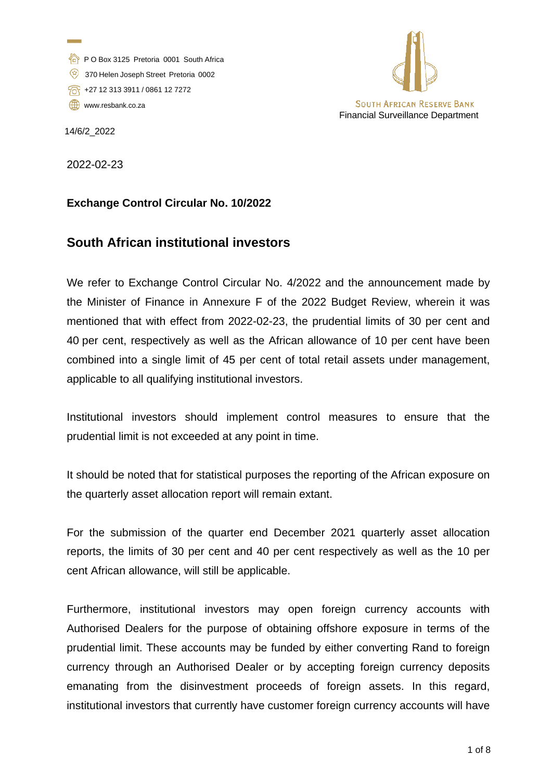- P O Box 3125 Pretoria 0001 South Africa
- 370 Helen Joseph Street Pretoria 0002
- +27 12 313 3911 / 0861 12 7272
- [www.resbank.co.za](http://www.resbank.co.za/)



14/6/2\_2022

2022-02-23

# **Exchange Control Circular No. 10/2022**

# **South African institutional investors**

We refer to Exchange Control Circular No. 4/2022 and the announcement made by the Minister of Finance in Annexure F of the 2022 Budget Review, wherein it was mentioned that with effect from 2022-02-23, the prudential limits of 30 per cent and 40 per cent, respectively as well as the African allowance of 10 per cent have been combined into a single limit of 45 per cent of total retail assets under management, applicable to all qualifying institutional investors.

Institutional investors should implement control measures to ensure that the prudential limit is not exceeded at any point in time.

It should be noted that for statistical purposes the reporting of the African exposure on the quarterly asset allocation report will remain extant.

For the submission of the quarter end December 2021 quarterly asset allocation reports, the limits of 30 per cent and 40 per cent respectively as well as the 10 per cent African allowance, will still be applicable.

Furthermore, institutional investors may open foreign currency accounts with Authorised Dealers for the purpose of obtaining offshore exposure in terms of the prudential limit. These accounts may be funded by either converting Rand to foreign currency through an Authorised Dealer or by accepting foreign currency deposits emanating from the disinvestment proceeds of foreign assets. In this regard, institutional investors that currently have customer foreign currency accounts will have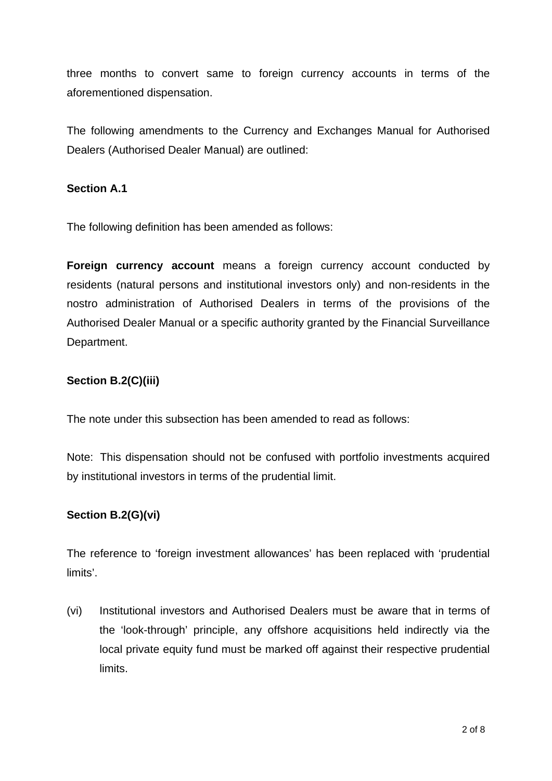three months to convert same to foreign currency accounts in terms of the aforementioned dispensation.

The following amendments to the Currency and Exchanges Manual for Authorised Dealers (Authorised Dealer Manual) are outlined:

#### **Section A.1**

The following definition has been amended as follows:

**Foreign currency account** means a foreign currency account conducted by residents (natural persons and institutional investors only) and non-residents in the nostro administration of Authorised Dealers in terms of the provisions of the Authorised Dealer Manual or a specific authority granted by the Financial Surveillance Department.

# **Section B.2(C)(iii)**

The note under this subsection has been amended to read as follows:

Note: This dispensation should not be confused with portfolio investments acquired by institutional investors in terms of the prudential limit.

# **Section B.2(G)(vi)**

The reference to 'foreign investment allowances' has been replaced with 'prudential limits'.

(vi) Institutional investors and Authorised Dealers must be aware that in terms of the 'look-through' principle, any offshore acquisitions held indirectly via the local private equity fund must be marked off against their respective prudential limits.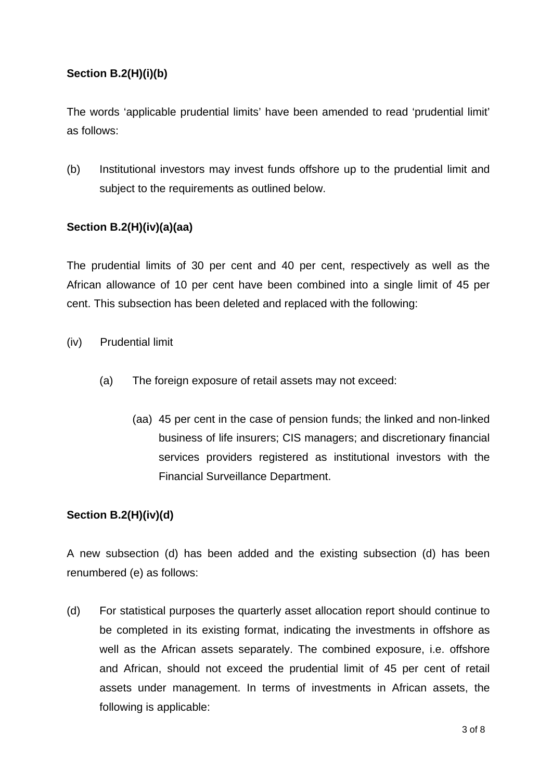# **Section B.2(H)(i)(b)**

The words 'applicable prudential limits' have been amended to read 'prudential limit' as follows:

(b) Institutional investors may invest funds offshore up to the prudential limit and subject to the requirements as outlined below.

#### **Section B.2(H)(iv)(a)(aa)**

The prudential limits of 30 per cent and 40 per cent, respectively as well as the African allowance of 10 per cent have been combined into a single limit of 45 per cent. This subsection has been deleted and replaced with the following:

- (iv) Prudential limit
	- (a) The foreign exposure of retail assets may not exceed:
		- (aa) 45 per cent in the case of pension funds; the linked and non-linked business of life insurers; CIS managers; and discretionary financial services providers registered as institutional investors with the Financial Surveillance Department.

#### **Section B.2(H)(iv)(d)**

A new subsection (d) has been added and the existing subsection (d) has been renumbered (e) as follows:

(d) For statistical purposes the quarterly asset allocation report should continue to be completed in its existing format, indicating the investments in offshore as well as the African assets separately. The combined exposure, i.e. offshore and African, should not exceed the prudential limit of 45 per cent of retail assets under management. In terms of investments in African assets, the following is applicable: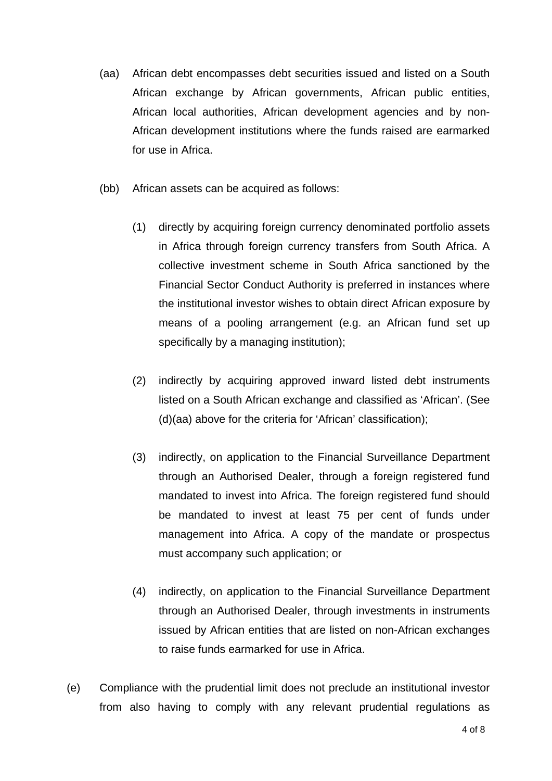- (aa) African debt encompasses debt securities issued and listed on a South African exchange by African governments, African public entities, African local authorities, African development agencies and by non-African development institutions where the funds raised are earmarked for use in Africa.
- (bb) African assets can be acquired as follows:
	- (1) directly by acquiring foreign currency denominated portfolio assets in Africa through foreign currency transfers from South Africa. A collective investment scheme in South Africa sanctioned by the Financial Sector Conduct Authority is preferred in instances where the institutional investor wishes to obtain direct African exposure by means of a pooling arrangement (e.g. an African fund set up specifically by a managing institution);
	- (2) indirectly by acquiring approved inward listed debt instruments listed on a South African exchange and classified as 'African'. (See (d)(aa) above for the criteria for 'African' classification);
	- (3) indirectly, on application to the Financial Surveillance Department through an Authorised Dealer, through a foreign registered fund mandated to invest into Africa. The foreign registered fund should be mandated to invest at least 75 per cent of funds under management into Africa. A copy of the mandate or prospectus must accompany such application; or
	- (4) indirectly, on application to the Financial Surveillance Department through an Authorised Dealer, through investments in instruments issued by African entities that are listed on non-African exchanges to raise funds earmarked for use in Africa.
- (e) Compliance with the prudential limit does not preclude an institutional investor from also having to comply with any relevant prudential regulations as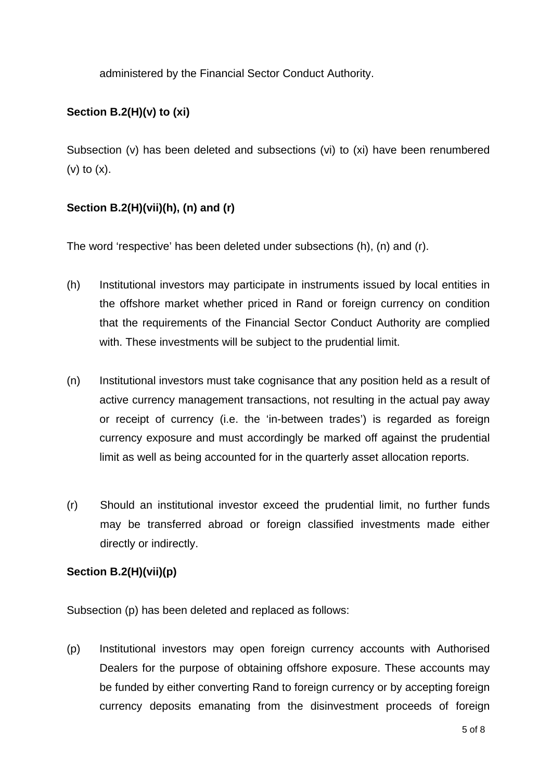administered by the Financial Sector Conduct Authority.

# **Section B.2(H)(v) to (xi)**

Subsection (v) has been deleted and subsections (vi) to (xi) have been renumbered  $(v)$  to  $(x)$ .

# **Section B.2(H)(vii)(h), (n) and (r)**

The word 'respective' has been deleted under subsections (h), (n) and (r).

- (h) Institutional investors may participate in instruments issued by local entities in the offshore market whether priced in Rand or foreign currency on condition that the requirements of the Financial Sector Conduct Authority are complied with. These investments will be subject to the prudential limit.
- (n) Institutional investors must take cognisance that any position held as a result of active currency management transactions, not resulting in the actual pay away or receipt of currency (i.e. the 'in-between trades') is regarded as foreign currency exposure and must accordingly be marked off against the prudential limit as well as being accounted for in the quarterly asset allocation reports.
- (r) Should an institutional investor exceed the prudential limit, no further funds may be transferred abroad or foreign classified investments made either directly or indirectly.

# **Section B.2(H)(vii)(p)**

Subsection (p) has been deleted and replaced as follows:

(p) Institutional investors may open foreign currency accounts with Authorised Dealers for the purpose of obtaining offshore exposure. These accounts may be funded by either converting Rand to foreign currency or by accepting foreign currency deposits emanating from the disinvestment proceeds of foreign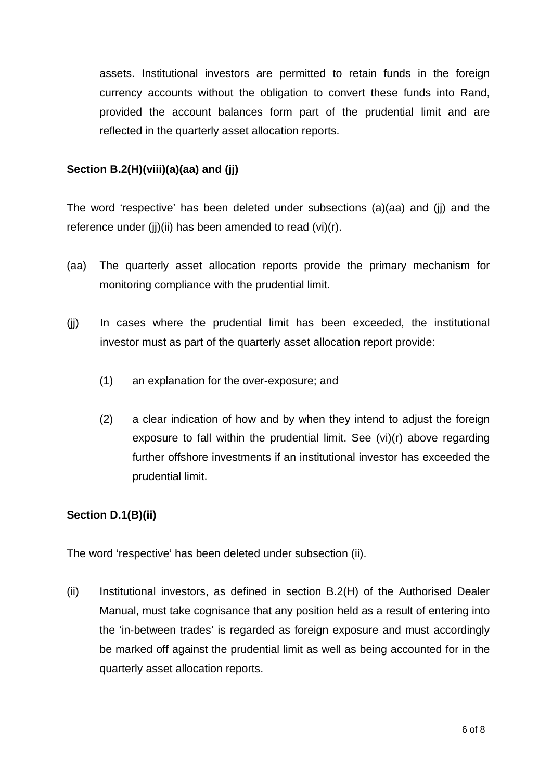assets. Institutional investors are permitted to retain funds in the foreign currency accounts without the obligation to convert these funds into Rand, provided the account balances form part of the prudential limit and are reflected in the quarterly asset allocation reports.

# **Section B.2(H)(viii)(a)(aa) and (jj)**

The word 'respective' has been deleted under subsections (a)(aa) and (jj) and the reference under (jj)(ii) has been amended to read (vi)(r).

- (aa) The quarterly asset allocation reports provide the primary mechanism for monitoring compliance with the prudential limit.
- (jj) In cases where the prudential limit has been exceeded, the institutional investor must as part of the quarterly asset allocation report provide:
	- (1) an explanation for the over-exposure; and
	- (2) a clear indication of how and by when they intend to adjust the foreign exposure to fall within the prudential limit. See (vi)(r) above regarding further offshore investments if an institutional investor has exceeded the prudential limit.

# **Section D.1(B)(ii)**

The word 'respective' has been deleted under subsection (ii).

(ii) Institutional investors, as defined in section B.2(H) of the Authorised Dealer Manual, must take cognisance that any position held as a result of entering into the 'in-between trades' is regarded as foreign exposure and must accordingly be marked off against the prudential limit as well as being accounted for in the quarterly asset allocation reports.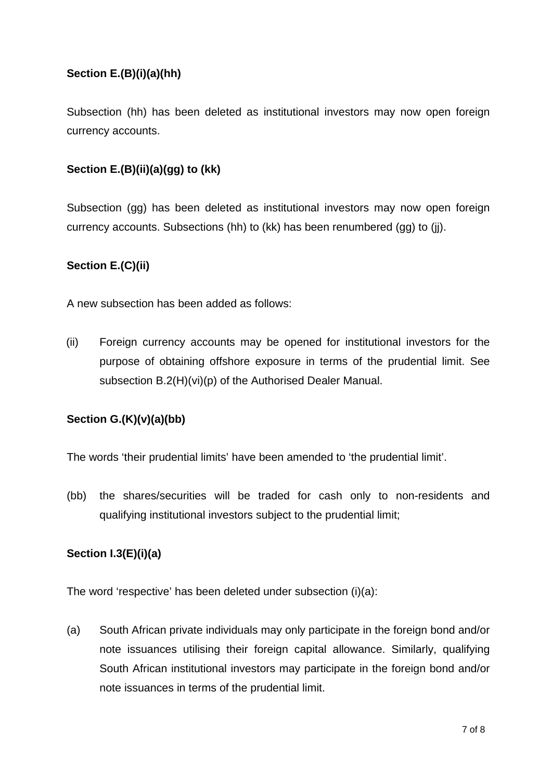# **Section E.(B)(i)(a)(hh)**

Subsection (hh) has been deleted as institutional investors may now open foreign currency accounts.

# **Section E.(B)(ii)(a)(gg) to (kk)**

Subsection (gg) has been deleted as institutional investors may now open foreign currency accounts. Subsections (hh) to (kk) has been renumbered (gg) to (jj).

# **Section E.(C)(ii)**

A new subsection has been added as follows:

(ii) Foreign currency accounts may be opened for institutional investors for the purpose of obtaining offshore exposure in terms of the prudential limit. See subsection B.2(H)(vi)(p) of the Authorised Dealer Manual.

# **Section G.(K)(v)(a)(bb)**

The words 'their prudential limits' have been amended to 'the prudential limit'.

(bb) the shares/securities will be traded for cash only to non-residents and qualifying institutional investors subject to the prudential limit;

# **Section I.3(E)(i)(a)**

The word 'respective' has been deleted under subsection (i)(a):

(a) South African private individuals may only participate in the foreign bond and/or note issuances utilising their foreign capital allowance. Similarly, qualifying South African institutional investors may participate in the foreign bond and/or note issuances in terms of the prudential limit.